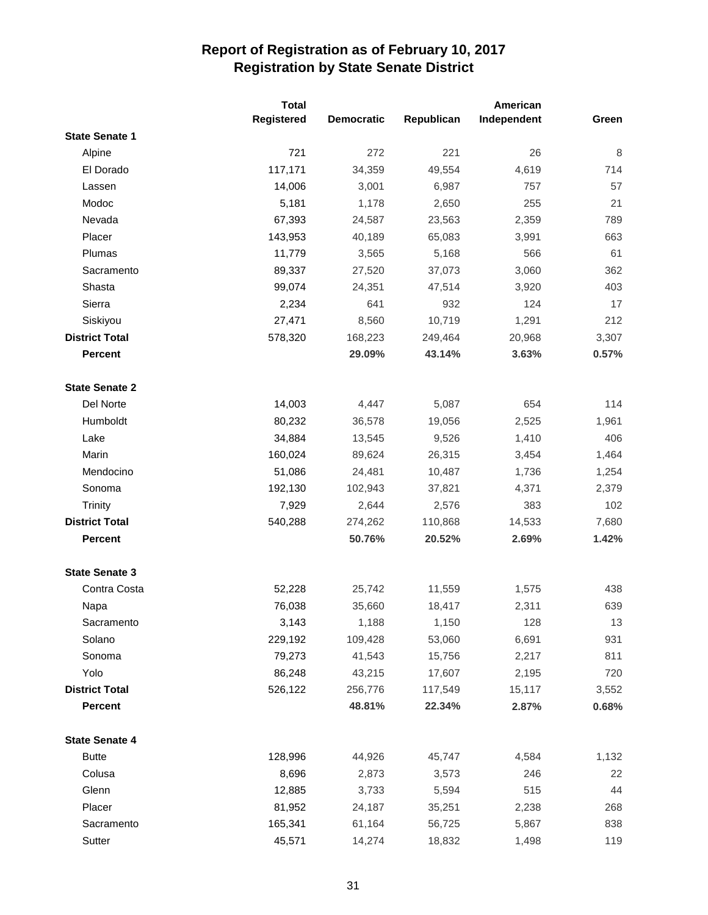|                       | <b>Total</b> |                   |            | American    |       |
|-----------------------|--------------|-------------------|------------|-------------|-------|
|                       | Registered   | <b>Democratic</b> | Republican | Independent | Green |
| <b>State Senate 1</b> |              |                   |            |             |       |
| Alpine                | 721          | 272               | 221        | 26          | 8     |
| El Dorado             | 117,171      | 34,359            | 49,554     | 4,619       | 714   |
| Lassen                | 14,006       | 3,001             | 6,987      | 757         | 57    |
| Modoc                 | 5,181        | 1,178             | 2,650      | 255         | 21    |
| Nevada                | 67,393       | 24,587            | 23,563     | 2,359       | 789   |
| Placer                | 143,953      | 40,189            | 65,083     | 3,991       | 663   |
| Plumas                | 11,779       | 3,565             | 5,168      | 566         | 61    |
| Sacramento            | 89,337       | 27,520            | 37,073     | 3,060       | 362   |
| Shasta                | 99,074       | 24,351            | 47,514     | 3,920       | 403   |
| Sierra                | 2,234        | 641               | 932        | 124         | 17    |
| Siskiyou              | 27,471       | 8,560             | 10,719     | 1,291       | 212   |
| <b>District Total</b> | 578,320      | 168,223           | 249,464    | 20,968      | 3,307 |
| <b>Percent</b>        |              | 29.09%            | 43.14%     | 3.63%       | 0.57% |
| <b>State Senate 2</b> |              |                   |            |             |       |
| Del Norte             | 14,003       | 4,447             | 5,087      | 654         | 114   |
| Humboldt              | 80,232       | 36,578            | 19,056     | 2,525       | 1,961 |
| Lake                  | 34,884       | 13,545            | 9,526      | 1,410       | 406   |
| Marin                 | 160,024      | 89,624            | 26,315     | 3,454       | 1,464 |
| Mendocino             | 51,086       | 24,481            | 10,487     | 1,736       | 1,254 |
| Sonoma                | 192,130      | 102,943           | 37,821     | 4,371       | 2,379 |
| Trinity               | 7,929        | 2,644             | 2,576      | 383         | 102   |
| <b>District Total</b> | 540,288      | 274,262           | 110,868    | 14,533      | 7,680 |
| <b>Percent</b>        |              | 50.76%            | 20.52%     | 2.69%       | 1.42% |
| <b>State Senate 3</b> |              |                   |            |             |       |
| Contra Costa          | 52,228       | 25,742            | 11,559     | 1,575       | 438   |
| Napa                  | 76,038       | 35,660            | 18,417     | 2,311       | 639   |
| Sacramento            | 3,143        | 1,188             | 1,150      | 128         | 13    |
| Solano                | 229,192      | 109,428           | 53,060     | 6,691       | 931   |
| Sonoma                | 79,273       | 41,543            | 15,756     | 2,217       | 811   |
| Yolo                  | 86,248       | 43,215            | 17,607     | 2,195       | 720   |
| <b>District Total</b> | 526,122      | 256,776           | 117,549    | 15,117      | 3,552 |
| Percent               |              | 48.81%            | 22.34%     | 2.87%       | 0.68% |
| <b>State Senate 4</b> |              |                   |            |             |       |
| <b>Butte</b>          | 128,996      | 44,926            | 45,747     | 4,584       | 1,132 |
| Colusa                | 8,696        | 2,873             | 3,573      | 246         | 22    |
| Glenn                 | 12,885       | 3,733             | 5,594      | 515         | 44    |
| Placer                | 81,952       | 24,187            | 35,251     | 2,238       | 268   |
| Sacramento            | 165,341      | 61,164            | 56,725     | 5,867       | 838   |
| Sutter                | 45,571       | 14,274            | 18,832     | 1,498       | 119   |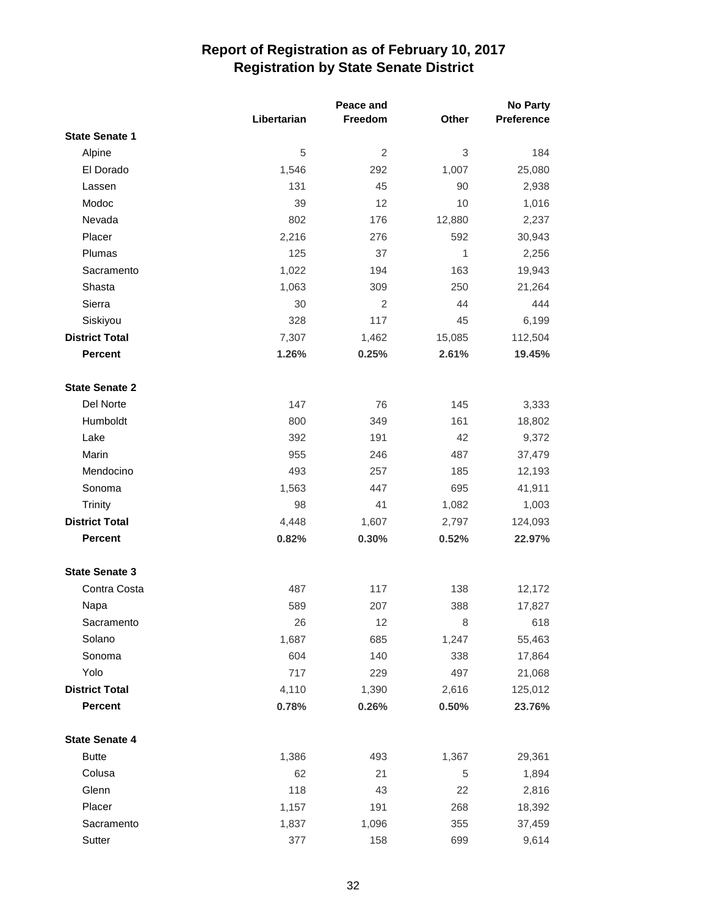|                       |             | Peace and |        | <b>No Party</b> |  |
|-----------------------|-------------|-----------|--------|-----------------|--|
|                       | Libertarian | Freedom   | Other  | Preference      |  |
| <b>State Senate 1</b> |             |           |        |                 |  |
| Alpine                | 5           | 2         | 3      | 184             |  |
| El Dorado             | 1,546       | 292       | 1,007  | 25,080          |  |
| Lassen                | 131         | 45        | 90     | 2,938           |  |
| Modoc                 | 39          | 12        | 10     | 1,016           |  |
| Nevada                | 802         | 176       | 12,880 | 2,237           |  |
| Placer                | 2,216       | 276       | 592    | 30,943          |  |
| Plumas                | 125         | 37        | 1      | 2,256           |  |
| Sacramento            | 1,022       | 194       | 163    | 19,943          |  |
| Shasta                | 1,063       | 309       | 250    | 21,264          |  |
| Sierra                | 30          | 2         | 44     | 444             |  |
| Siskiyou              | 328         | 117       | 45     | 6,199           |  |
| <b>District Total</b> | 7,307       | 1,462     | 15,085 | 112,504         |  |
| <b>Percent</b>        | 1.26%       | 0.25%     | 2.61%  | 19.45%          |  |
| <b>State Senate 2</b> |             |           |        |                 |  |
| Del Norte             | 147         | 76        | 145    | 3,333           |  |
| Humboldt              | 800         | 349       | 161    | 18,802          |  |
| Lake                  | 392         | 191       | 42     | 9,372           |  |
| Marin                 | 955         | 246       | 487    | 37,479          |  |
| Mendocino             | 493         | 257       | 185    | 12,193          |  |
| Sonoma                | 1,563       | 447       | 695    | 41,911          |  |
| Trinity               | 98          | 41        | 1,082  | 1,003           |  |
| <b>District Total</b> | 4,448       | 1,607     | 2,797  | 124,093         |  |
| <b>Percent</b>        | 0.82%       | 0.30%     | 0.52%  | 22.97%          |  |
| <b>State Senate 3</b> |             |           |        |                 |  |
| Contra Costa          | 487         | 117       | 138    | 12,172          |  |
| Napa                  | 589         | 207       | 388    | 17,827          |  |
| Sacramento            | 26          | 12        | 8      | 618             |  |
| Solano                | 1,687       | 685       | 1,247  | 55,463          |  |
| Sonoma                | 604         | 140       | 338    | 17,864          |  |
| Yolo                  | 717         | 229       | 497    | 21,068          |  |
| <b>District Total</b> | 4,110       | 1,390     | 2,616  | 125,012         |  |
| Percent               | 0.78%       | 0.26%     | 0.50%  | 23.76%          |  |
| <b>State Senate 4</b> |             |           |        |                 |  |
| <b>Butte</b>          | 1,386       | 493       | 1,367  | 29,361          |  |
| Colusa                | 62          | 21        | 5      | 1,894           |  |
| Glenn                 | 118         | 43        | 22     | 2,816           |  |
| Placer                | 1,157       | 191       | 268    | 18,392          |  |
| Sacramento            | 1,837       | 1,096     | 355    | 37,459          |  |
| Sutter                | 377         | 158       | 699    | 9,614           |  |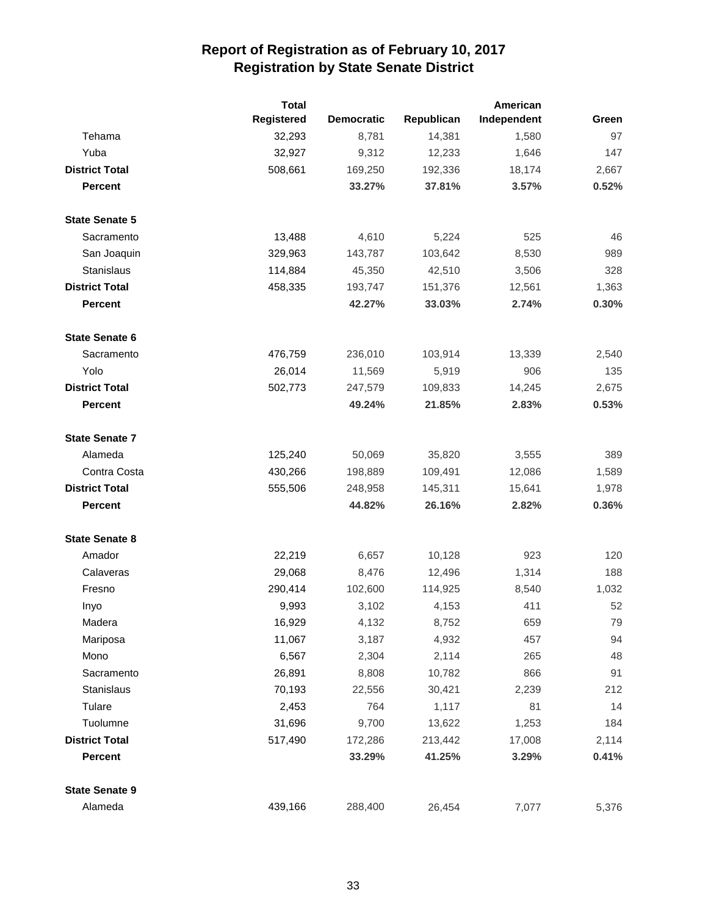|                       | <b>Total</b> |                   |            | American    |       |
|-----------------------|--------------|-------------------|------------|-------------|-------|
|                       | Registered   | <b>Democratic</b> | Republican | Independent | Green |
| Tehama                | 32,293       | 8,781             | 14,381     | 1,580       | 97    |
| Yuba                  | 32,927       | 9,312             | 12,233     | 1,646       | 147   |
| <b>District Total</b> | 508,661      | 169,250           | 192,336    | 18,174      | 2,667 |
| <b>Percent</b>        |              | 33.27%            | 37.81%     | 3.57%       | 0.52% |
| <b>State Senate 5</b> |              |                   |            |             |       |
| Sacramento            | 13,488       | 4,610             | 5,224      | 525         | 46    |
| San Joaquin           | 329,963      | 143,787           | 103,642    | 8,530       | 989   |
| <b>Stanislaus</b>     | 114,884      | 45,350            | 42,510     | 3,506       | 328   |
| <b>District Total</b> | 458,335      | 193,747           | 151,376    | 12,561      | 1,363 |
| <b>Percent</b>        |              | 42.27%            | 33.03%     | 2.74%       | 0.30% |
| <b>State Senate 6</b> |              |                   |            |             |       |
| Sacramento            | 476,759      | 236,010           | 103,914    | 13,339      | 2,540 |
| Yolo                  | 26,014       | 11,569            | 5,919      | 906         | 135   |
| <b>District Total</b> | 502,773      | 247,579           | 109,833    | 14,245      | 2,675 |
| <b>Percent</b>        |              | 49.24%            | 21.85%     | 2.83%       | 0.53% |
| <b>State Senate 7</b> |              |                   |            |             |       |
| Alameda               | 125,240      | 50,069            | 35,820     | 3,555       | 389   |
| Contra Costa          | 430,266      | 198,889           | 109,491    | 12,086      | 1,589 |
| <b>District Total</b> | 555,506      | 248,958           | 145,311    | 15,641      | 1,978 |
| <b>Percent</b>        |              | 44.82%            | 26.16%     | 2.82%       | 0.36% |
| <b>State Senate 8</b> |              |                   |            |             |       |
| Amador                | 22,219       | 6,657             | 10,128     | 923         | 120   |
| Calaveras             | 29,068       | 8,476             | 12,496     | 1,314       | 188   |
| Fresno                | 290,414      | 102,600           | 114,925    | 8,540       | 1,032 |
| Inyo                  | 9,993        | 3,102             | 4,153      | 411         | 52    |
| Madera                | 16,929       | 4,132             | 8,752      | 659         | 79    |
| Mariposa              | 11,067       | 3,187             | 4,932      | 457         | 94    |
| Mono                  | 6,567        | 2,304             | 2,114      | 265         | 48    |
| Sacramento            | 26,891       | 8,808             | 10,782     | 866         | 91    |
| Stanislaus            | 70,193       | 22,556            | 30,421     | 2,239       | 212   |
| Tulare                | 2,453        | 764               | 1,117      | 81          | 14    |
| Tuolumne              | 31,696       | 9,700             | 13,622     | 1,253       | 184   |
| <b>District Total</b> | 517,490      | 172,286           | 213,442    | 17,008      | 2,114 |
| <b>Percent</b>        |              | 33.29%            | 41.25%     | 3.29%       | 0.41% |
| <b>State Senate 9</b> |              |                   |            |             |       |
| Alameda               | 439,166      | 288,400           | 26,454     | 7,077       | 5,376 |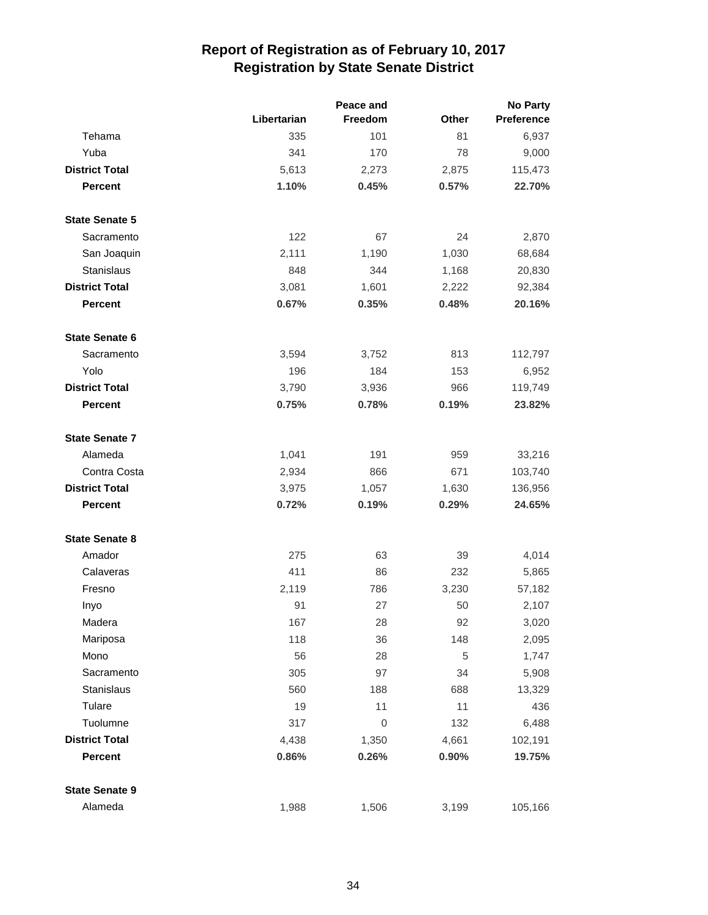|                       |             | Peace and   | <b>No Party</b> |                   |  |
|-----------------------|-------------|-------------|-----------------|-------------------|--|
|                       | Libertarian | Freedom     | Other           | <b>Preference</b> |  |
| Tehama                | 335         | 101         | 81              | 6,937             |  |
| Yuba                  | 341         | 170         | 78              | 9,000             |  |
| <b>District Total</b> | 5,613       | 2,273       | 2,875           | 115,473           |  |
| <b>Percent</b>        | 1.10%       | 0.45%       | 0.57%           | 22.70%            |  |
| <b>State Senate 5</b> |             |             |                 |                   |  |
| Sacramento            | 122         | 67          | 24              | 2,870             |  |
| San Joaquin           | 2,111       | 1,190       | 1,030           | 68,684            |  |
| <b>Stanislaus</b>     | 848         | 344         | 1,168           | 20,830            |  |
| <b>District Total</b> | 3,081       | 1,601       | 2,222           | 92,384            |  |
| <b>Percent</b>        | 0.67%       | 0.35%       | 0.48%           | 20.16%            |  |
| <b>State Senate 6</b> |             |             |                 |                   |  |
| Sacramento            | 3,594       | 3,752       | 813             | 112,797           |  |
| Yolo                  | 196         | 184         | 153             | 6,952             |  |
| <b>District Total</b> | 3,790       | 3,936       | 966             | 119,749           |  |
| <b>Percent</b>        | 0.75%       | 0.78%       | 0.19%           | 23.82%            |  |
| <b>State Senate 7</b> |             |             |                 |                   |  |
| Alameda               | 1,041       | 191         | 959             | 33,216            |  |
| Contra Costa          | 2,934       | 866         | 671             | 103,740           |  |
| <b>District Total</b> | 3,975       | 1,057       | 1,630           | 136,956           |  |
| <b>Percent</b>        | 0.72%       | 0.19%       | 0.29%           | 24.65%            |  |
| <b>State Senate 8</b> |             |             |                 |                   |  |
| Amador                | 275         | 63          | 39              | 4,014             |  |
| Calaveras             | 411         | 86          | 232             | 5,865             |  |
| Fresno                | 2,119       | 786         | 3,230           | 57,182            |  |
| Inyo                  | 91          | 27          | 50              | 2,107             |  |
| Madera                | 167         | 28          | 92              | 3,020             |  |
| Mariposa              | 118         | 36          | 148             | 2,095             |  |
| Mono                  | 56          | 28          | 5               | 1,747             |  |
| Sacramento            | 305         | 97          | 34              | 5,908             |  |
| Stanislaus            | 560         | 188         | 688             | 13,329            |  |
| Tulare                | 19          | 11          | 11              | 436               |  |
| Tuolumne              | 317         | $\mathbf 0$ | 132             | 6,488             |  |
| <b>District Total</b> | 4,438       | 1,350       | 4,661           | 102,191           |  |
| Percent               | 0.86%       | 0.26%       | 0.90%           | 19.75%            |  |
| <b>State Senate 9</b> |             |             |                 |                   |  |
| Alameda               | 1,988       | 1,506       | 3,199           | 105,166           |  |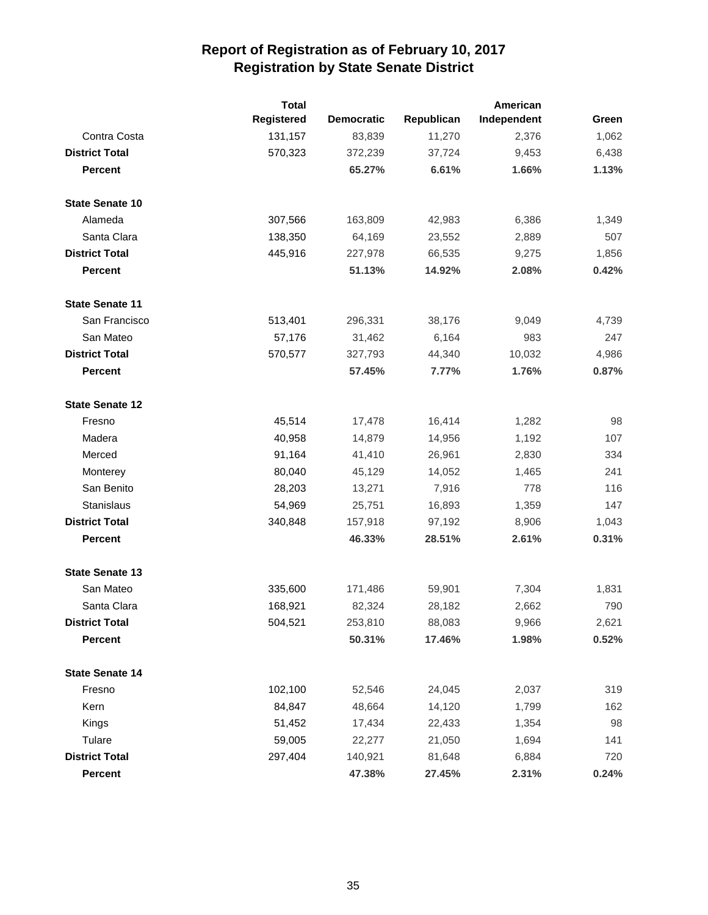|                        | <b>Total</b>      |                   |            | American    |       |
|------------------------|-------------------|-------------------|------------|-------------|-------|
|                        | <b>Registered</b> | <b>Democratic</b> | Republican | Independent | Green |
| Contra Costa           | 131,157           | 83,839            | 11,270     | 2,376       | 1,062 |
| <b>District Total</b>  | 570,323           | 372,239           | 37,724     | 9,453       | 6,438 |
| <b>Percent</b>         |                   | 65.27%            | 6.61%      | 1.66%       | 1.13% |
| <b>State Senate 10</b> |                   |                   |            |             |       |
| Alameda                | 307,566           | 163,809           | 42,983     | 6,386       | 1,349 |
| Santa Clara            | 138,350           | 64,169            | 23,552     | 2,889       | 507   |
| <b>District Total</b>  | 445,916           | 227,978           | 66,535     | 9,275       | 1,856 |
| <b>Percent</b>         |                   | 51.13%            | 14.92%     | 2.08%       | 0.42% |
| <b>State Senate 11</b> |                   |                   |            |             |       |
| San Francisco          | 513,401           | 296,331           | 38,176     | 9,049       | 4,739 |
| San Mateo              | 57,176            | 31,462            | 6,164      | 983         | 247   |
| <b>District Total</b>  | 570,577           | 327,793           | 44,340     | 10,032      | 4,986 |
| <b>Percent</b>         |                   | 57.45%            | 7.77%      | 1.76%       | 0.87% |
| <b>State Senate 12</b> |                   |                   |            |             |       |
| Fresno                 | 45,514            | 17,478            | 16,414     | 1,282       | 98    |
| Madera                 | 40,958            | 14,879            | 14,956     | 1,192       | 107   |
| Merced                 | 91,164            | 41,410            | 26,961     | 2,830       | 334   |
| Monterey               | 80,040            | 45,129            | 14,052     | 1,465       | 241   |
| San Benito             | 28,203            | 13,271            | 7,916      | 778         | 116   |
| <b>Stanislaus</b>      | 54,969            | 25,751            | 16,893     | 1,359       | 147   |
| <b>District Total</b>  | 340,848           | 157,918           | 97,192     | 8,906       | 1,043 |
| <b>Percent</b>         |                   | 46.33%            | 28.51%     | 2.61%       | 0.31% |
| <b>State Senate 13</b> |                   |                   |            |             |       |
| San Mateo              | 335,600           | 171,486           | 59,901     | 7,304       | 1,831 |
| Santa Clara            | 168,921           | 82,324            | 28,182     | 2,662       | 790   |
| <b>District Total</b>  | 504,521           | 253,810           | 88,083     | 9,966       | 2,621 |
| <b>Percent</b>         |                   | 50.31%            | 17.46%     | 1.98%       | 0.52% |
| <b>State Senate 14</b> |                   |                   |            |             |       |
| Fresno                 | 102,100           | 52,546            | 24,045     | 2,037       | 319   |
| Kern                   | 84,847            | 48,664            | 14,120     | 1,799       | 162   |
| Kings                  | 51,452            | 17,434            | 22,433     | 1,354       | 98    |
| Tulare                 | 59,005            | 22,277            | 21,050     | 1,694       | 141   |
| <b>District Total</b>  | 297,404           | 140,921           | 81,648     | 6,884       | 720   |
| Percent                |                   | 47.38%            | 27.45%     | 2.31%       | 0.24% |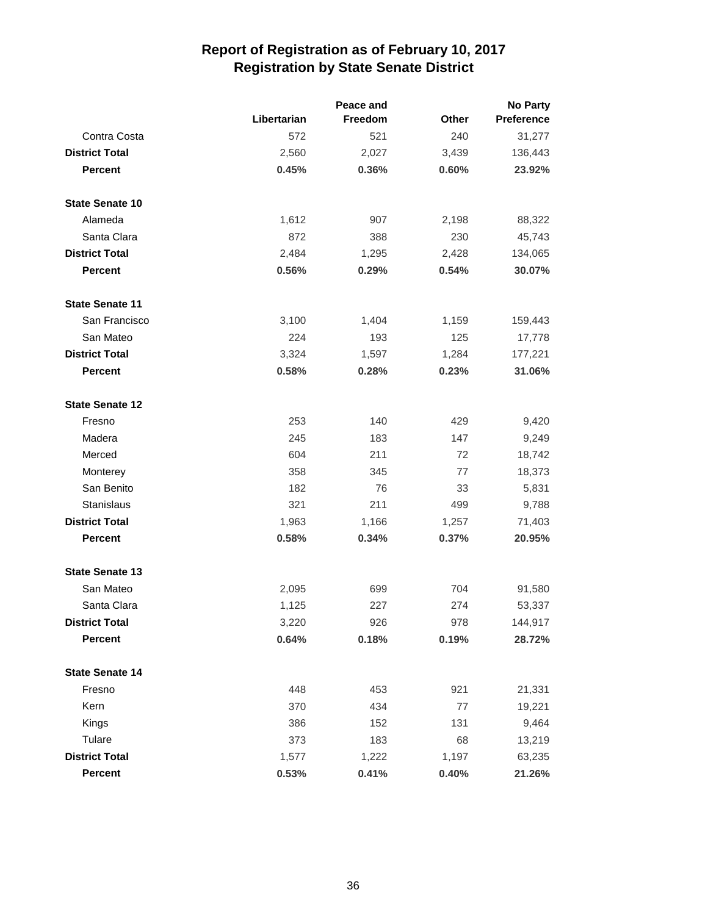|                        |             | <b>No Party</b> |              |                   |
|------------------------|-------------|-----------------|--------------|-------------------|
|                        | Libertarian | <b>Freedom</b>  | <b>Other</b> | <b>Preference</b> |
| Contra Costa           | 572         | 521             | 240          | 31,277            |
| <b>District Total</b>  | 2,560       | 2,027           | 3,439        | 136,443           |
| <b>Percent</b>         | 0.45%       | 0.36%           | 0.60%        | 23.92%            |
| <b>State Senate 10</b> |             |                 |              |                   |
| Alameda                | 1,612       | 907             | 2,198        | 88,322            |
| Santa Clara            | 872         | 388             | 230          | 45,743            |
| <b>District Total</b>  | 2,484       | 1,295           | 2,428        | 134,065           |
| <b>Percent</b>         | 0.56%       | 0.29%           | 0.54%        | 30.07%            |
| <b>State Senate 11</b> |             |                 |              |                   |
| San Francisco          | 3,100       | 1,404           | 1,159        | 159,443           |
| San Mateo              | 224         | 193             | 125          | 17,778            |
| <b>District Total</b>  | 3,324       | 1,597           | 1,284        | 177,221           |
| <b>Percent</b>         | 0.58%       | 0.28%           | 0.23%        | 31.06%            |
| <b>State Senate 12</b> |             |                 |              |                   |
| Fresno                 | 253         | 140             | 429          | 9,420             |
| Madera                 | 245         | 183             | 147          | 9,249             |
| Merced                 | 604         | 211             | 72           | 18,742            |
| Monterey               | 358         | 345             | 77           | 18,373            |
| San Benito             | 182         | 76              | 33           | 5,831             |
| Stanislaus             | 321         | 211             | 499          | 9,788             |
| <b>District Total</b>  | 1,963       | 1,166           | 1,257        | 71,403            |
| <b>Percent</b>         | 0.58%       | 0.34%           | 0.37%        | 20.95%            |
| <b>State Senate 13</b> |             |                 |              |                   |
| San Mateo              | 2,095       | 699             | 704          | 91,580            |
| Santa Clara            | 1,125       | 227             | 274          | 53,337            |
| <b>District Total</b>  | 3,220       | 926             | 978          | 144,917           |
| <b>Percent</b>         | 0.64%       | 0.18%           | 0.19%        | 28.72%            |
| <b>State Senate 14</b> |             |                 |              |                   |
| Fresno                 | 448         | 453             | 921          | 21,331            |
| Kern                   | 370         | 434             | $77$         | 19,221            |
| Kings                  | 386         | 152             | 131          | 9,464             |
| Tulare                 | 373         | 183             | 68           | 13,219            |
| <b>District Total</b>  | 1,577       | 1,222           | 1,197        | 63,235            |
| Percent                | 0.53%       | 0.41%           | 0.40%        | 21.26%            |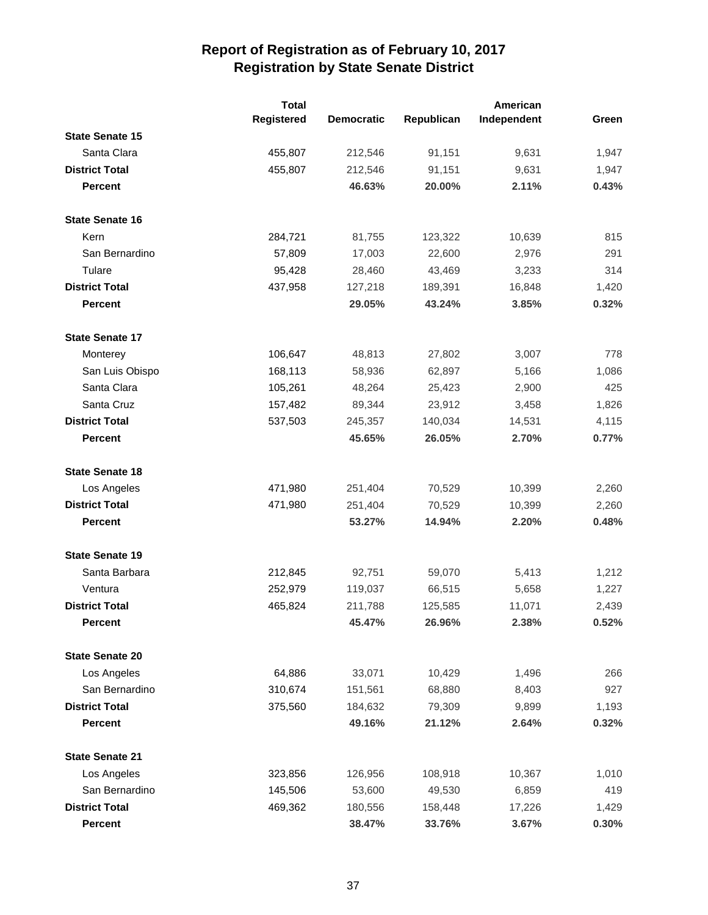|                        | <b>Total</b> |                   |            | American    |       |
|------------------------|--------------|-------------------|------------|-------------|-------|
|                        | Registered   | <b>Democratic</b> | Republican | Independent | Green |
| <b>State Senate 15</b> |              |                   |            |             |       |
| Santa Clara            | 455,807      | 212,546           | 91,151     | 9,631       | 1,947 |
| <b>District Total</b>  | 455,807      | 212,546           | 91,151     | 9,631       | 1,947 |
| <b>Percent</b>         |              | 46.63%            | 20.00%     | 2.11%       | 0.43% |
| <b>State Senate 16</b> |              |                   |            |             |       |
| Kern                   | 284,721      | 81,755            | 123,322    | 10,639      | 815   |
| San Bernardino         | 57,809       | 17,003            | 22,600     | 2,976       | 291   |
| Tulare                 | 95,428       | 28,460            | 43,469     | 3,233       | 314   |
| <b>District Total</b>  | 437,958      | 127,218           | 189,391    | 16,848      | 1,420 |
| <b>Percent</b>         |              | 29.05%            | 43.24%     | 3.85%       | 0.32% |
| <b>State Senate 17</b> |              |                   |            |             |       |
| Monterey               | 106,647      | 48,813            | 27,802     | 3,007       | 778   |
| San Luis Obispo        | 168,113      | 58,936            | 62,897     | 5,166       | 1,086 |
| Santa Clara            | 105,261      | 48,264            | 25,423     | 2,900       | 425   |
| Santa Cruz             | 157,482      | 89,344            | 23,912     | 3,458       | 1,826 |
| <b>District Total</b>  | 537,503      | 245,357           | 140,034    | 14,531      | 4,115 |
| <b>Percent</b>         |              | 45.65%            | 26.05%     | 2.70%       | 0.77% |
| <b>State Senate 18</b> |              |                   |            |             |       |
| Los Angeles            | 471,980      | 251,404           | 70,529     | 10,399      | 2,260 |
| <b>District Total</b>  | 471,980      | 251,404           | 70,529     | 10,399      | 2,260 |
| <b>Percent</b>         |              | 53.27%            | 14.94%     | 2.20%       | 0.48% |
| <b>State Senate 19</b> |              |                   |            |             |       |
| Santa Barbara          | 212,845      | 92,751            | 59,070     | 5,413       | 1,212 |
| Ventura                | 252,979      | 119,037           | 66,515     | 5,658       | 1,227 |
| <b>District Total</b>  | 465,824      | 211,788           | 125,585    | 11,071      | 2,439 |
| <b>Percent</b>         |              | 45.47%            | 26.96%     | 2.38%       | 0.52% |
| <b>State Senate 20</b> |              |                   |            |             |       |
| Los Angeles            | 64,886       | 33,071            | 10,429     | 1,496       | 266   |
| San Bernardino         | 310,674      | 151,561           | 68,880     | 8,403       | 927   |
| <b>District Total</b>  | 375,560      | 184,632           | 79,309     | 9,899       | 1,193 |
| <b>Percent</b>         |              | 49.16%            | 21.12%     | 2.64%       | 0.32% |
| <b>State Senate 21</b> |              |                   |            |             |       |
| Los Angeles            | 323,856      | 126,956           | 108,918    | 10,367      | 1,010 |
| San Bernardino         | 145,506      | 53,600            | 49,530     | 6,859       | 419   |
| <b>District Total</b>  | 469,362      | 180,556           | 158,448    | 17,226      | 1,429 |
| <b>Percent</b>         |              | 38.47%            | 33.76%     | 3.67%       | 0.30% |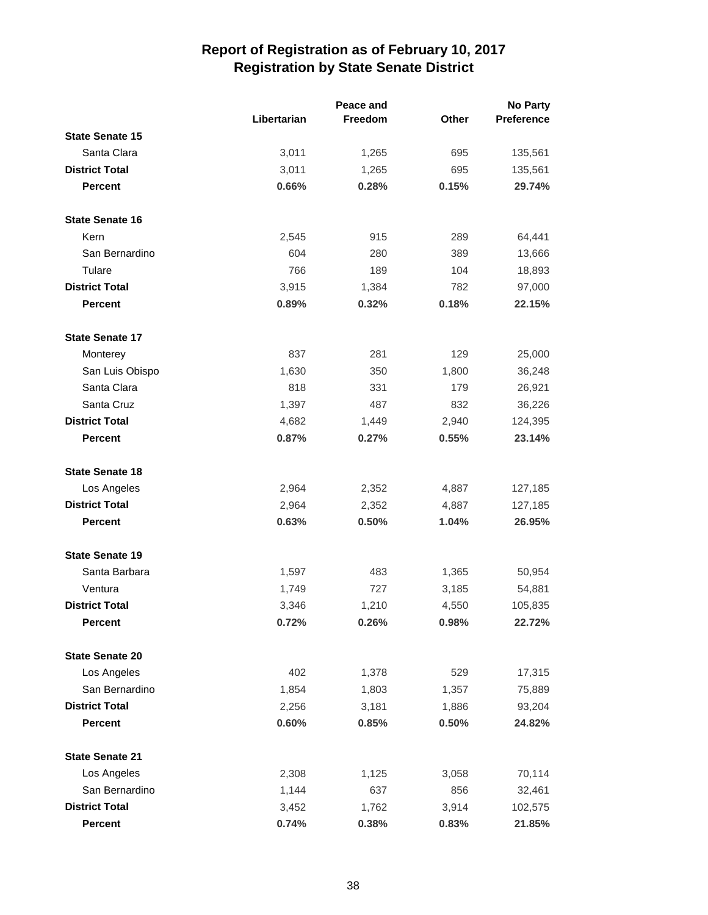|                        |             | Peace and |       | <b>No Party</b>   |  |
|------------------------|-------------|-----------|-------|-------------------|--|
|                        | Libertarian | Freedom   | Other | <b>Preference</b> |  |
| <b>State Senate 15</b> |             |           |       |                   |  |
| Santa Clara            | 3,011       | 1,265     | 695   | 135,561           |  |
| <b>District Total</b>  | 3,011       | 1,265     | 695   | 135,561           |  |
| <b>Percent</b>         | 0.66%       | 0.28%     | 0.15% | 29.74%            |  |
| <b>State Senate 16</b> |             |           |       |                   |  |
| Kern                   | 2,545       | 915       | 289   | 64,441            |  |
| San Bernardino         | 604         | 280       | 389   | 13,666            |  |
| Tulare                 | 766         | 189       | 104   | 18,893            |  |
| <b>District Total</b>  | 3,915       | 1,384     | 782   | 97,000            |  |
| <b>Percent</b>         | 0.89%       | 0.32%     | 0.18% | 22.15%            |  |
| <b>State Senate 17</b> |             |           |       |                   |  |
| Monterey               | 837         | 281       | 129   | 25,000            |  |
| San Luis Obispo        | 1,630       | 350       | 1,800 | 36,248            |  |
| Santa Clara            | 818         | 331       | 179   | 26,921            |  |
| Santa Cruz             | 1,397       | 487       | 832   | 36,226            |  |
| <b>District Total</b>  | 4,682       | 1,449     | 2,940 | 124,395           |  |
| <b>Percent</b>         | 0.87%       | 0.27%     | 0.55% | 23.14%            |  |
| <b>State Senate 18</b> |             |           |       |                   |  |
| Los Angeles            | 2,964       | 2,352     | 4,887 | 127,185           |  |
| <b>District Total</b>  | 2,964       | 2,352     | 4,887 | 127,185           |  |
| <b>Percent</b>         | 0.63%       | 0.50%     | 1.04% | 26.95%            |  |
| <b>State Senate 19</b> |             |           |       |                   |  |
| Santa Barbara          | 1,597       | 483       | 1,365 | 50,954            |  |
| Ventura                | 1,749       | 727       | 3,185 | 54,881            |  |
| <b>District Total</b>  | 3,346       | 1,210     | 4,550 | 105,835           |  |
| <b>Percent</b>         | 0.72%       | 0.26%     | 0.98% | 22.72%            |  |
| <b>State Senate 20</b> |             |           |       |                   |  |
| Los Angeles            | 402         | 1,378     | 529   | 17,315            |  |
| San Bernardino         | 1,854       | 1,803     | 1,357 | 75,889            |  |
| <b>District Total</b>  | 2,256       | 3,181     | 1,886 | 93,204            |  |
| <b>Percent</b>         | 0.60%       | 0.85%     | 0.50% | 24.82%            |  |
| <b>State Senate 21</b> |             |           |       |                   |  |
| Los Angeles            | 2,308       | 1,125     | 3,058 | 70,114            |  |
| San Bernardino         | 1,144       | 637       | 856   | 32,461            |  |
| <b>District Total</b>  | 3,452       | 1,762     | 3,914 | 102,575           |  |
| Percent                | 0.74%       | 0.38%     | 0.83% | 21.85%            |  |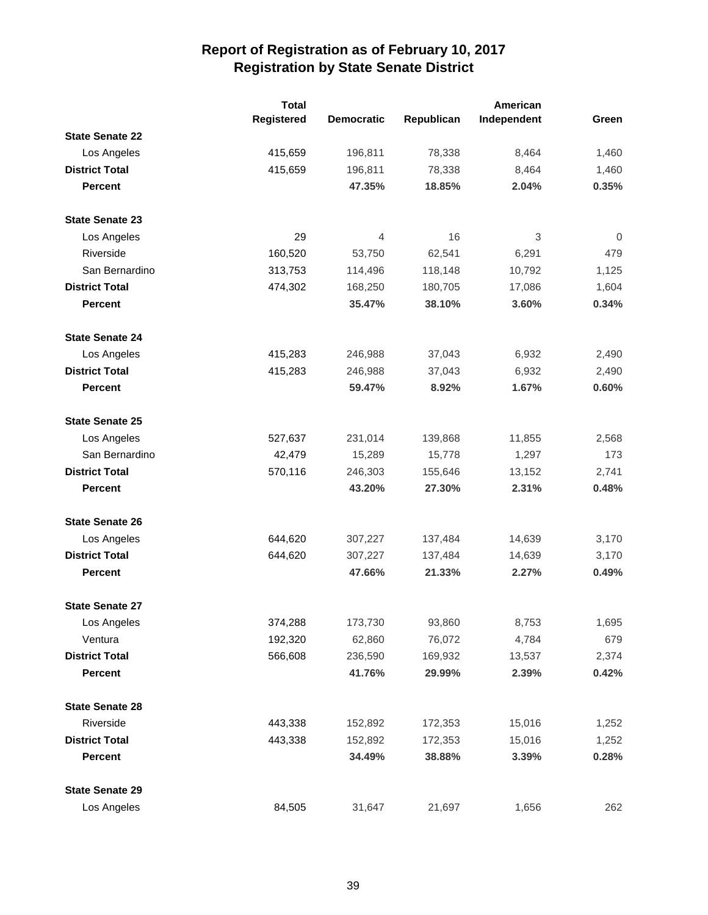|                        | <b>Total</b> |                   |            | American    |       |
|------------------------|--------------|-------------------|------------|-------------|-------|
|                        | Registered   | <b>Democratic</b> | Republican | Independent | Green |
| <b>State Senate 22</b> |              |                   |            |             |       |
| Los Angeles            | 415,659      | 196,811           | 78,338     | 8,464       | 1,460 |
| <b>District Total</b>  | 415,659      | 196,811           | 78,338     | 8,464       | 1,460 |
| <b>Percent</b>         |              | 47.35%            | 18.85%     | 2.04%       | 0.35% |
| <b>State Senate 23</b> |              |                   |            |             |       |
| Los Angeles            | 29           | 4                 | 16         | 3           | 0     |
| Riverside              | 160,520      | 53,750            | 62,541     | 6,291       | 479   |
| San Bernardino         | 313,753      | 114,496           | 118,148    | 10,792      | 1,125 |
| <b>District Total</b>  | 474,302      | 168,250           | 180,705    | 17,086      | 1,604 |
| <b>Percent</b>         |              | 35.47%            | 38.10%     | 3.60%       | 0.34% |
| <b>State Senate 24</b> |              |                   |            |             |       |
| Los Angeles            | 415,283      | 246,988           | 37,043     | 6,932       | 2,490 |
| <b>District Total</b>  | 415,283      | 246,988           | 37,043     | 6,932       | 2,490 |
| <b>Percent</b>         |              | 59.47%            | 8.92%      | 1.67%       | 0.60% |
| <b>State Senate 25</b> |              |                   |            |             |       |
| Los Angeles            | 527,637      | 231,014           | 139,868    | 11,855      | 2,568 |
| San Bernardino         | 42,479       | 15,289            | 15,778     | 1,297       | 173   |
| <b>District Total</b>  | 570,116      | 246,303           | 155,646    | 13,152      | 2,741 |
| <b>Percent</b>         |              | 43.20%            | 27.30%     | 2.31%       | 0.48% |
| <b>State Senate 26</b> |              |                   |            |             |       |
| Los Angeles            | 644,620      | 307,227           | 137,484    | 14,639      | 3,170 |
| <b>District Total</b>  | 644,620      | 307,227           | 137,484    | 14,639      | 3,170 |
| <b>Percent</b>         |              | 47.66%            | 21.33%     | 2.27%       | 0.49% |
| <b>State Senate 27</b> |              |                   |            |             |       |
| Los Angeles            | 374,288      | 173,730           | 93,860     | 8,753       | 1,695 |
| Ventura                | 192,320      | 62,860            | 76,072     | 4,784       | 679   |
| <b>District Total</b>  | 566,608      | 236,590           | 169,932    | 13,537      | 2,374 |
| Percent                |              | 41.76%            | 29.99%     | 2.39%       | 0.42% |
| <b>State Senate 28</b> |              |                   |            |             |       |
| Riverside              | 443,338      | 152,892           | 172,353    | 15,016      | 1,252 |
| <b>District Total</b>  | 443,338      | 152,892           | 172,353    | 15,016      | 1,252 |
| <b>Percent</b>         |              | 34.49%            | 38.88%     | 3.39%       | 0.28% |
| <b>State Senate 29</b> |              |                   |            |             |       |
| Los Angeles            | 84,505       | 31,647            | 21,697     | 1,656       | 262   |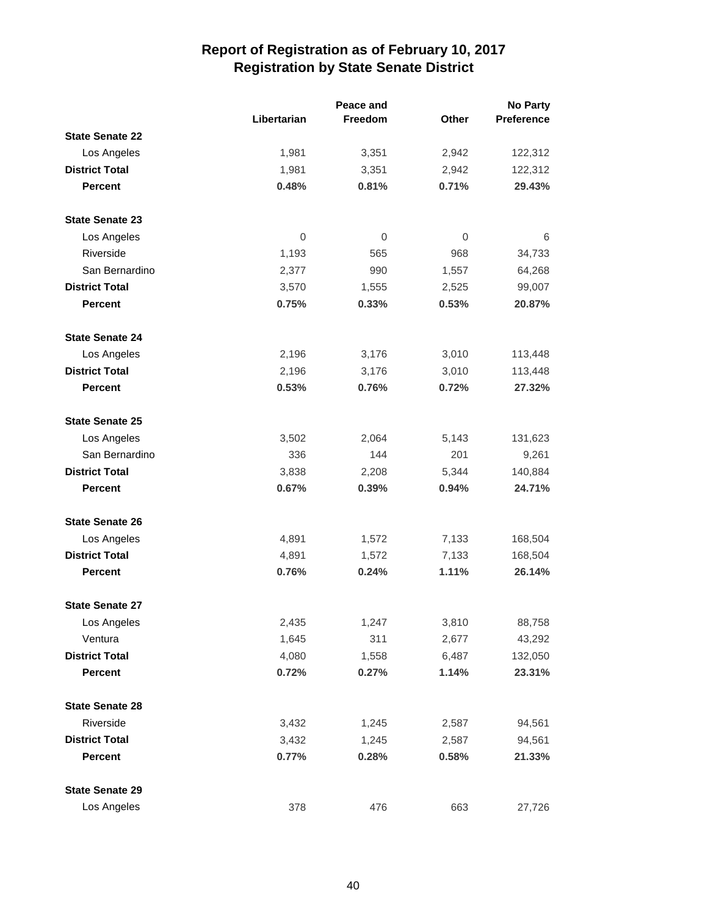|                        |                | Peace and |                | <b>No Party</b>   |  |
|------------------------|----------------|-----------|----------------|-------------------|--|
|                        | Libertarian    | Freedom   | <b>Other</b>   | <b>Preference</b> |  |
| <b>State Senate 22</b> |                |           |                |                   |  |
| Los Angeles            | 1,981          | 3,351     | 2,942          | 122,312           |  |
| <b>District Total</b>  | 1,981          | 3,351     | 2,942          | 122,312           |  |
| <b>Percent</b>         | 0.48%          | 0.81%     | 0.71%          | 29.43%            |  |
| <b>State Senate 23</b> |                |           |                |                   |  |
| Los Angeles            | $\overline{0}$ | 0         | $\overline{0}$ | 6                 |  |
| Riverside              | 1,193          | 565       | 968            | 34,733            |  |
| San Bernardino         | 2,377          | 990       | 1,557          | 64,268            |  |
| <b>District Total</b>  | 3,570          | 1,555     | 2,525          | 99,007            |  |
| <b>Percent</b>         | 0.75%          | 0.33%     | 0.53%          | 20.87%            |  |
| <b>State Senate 24</b> |                |           |                |                   |  |
| Los Angeles            | 2,196          | 3,176     | 3,010          | 113,448           |  |
| <b>District Total</b>  | 2,196          | 3,176     | 3,010          | 113,448           |  |
| <b>Percent</b>         | 0.53%          | 0.76%     | 0.72%          | 27.32%            |  |
| <b>State Senate 25</b> |                |           |                |                   |  |
| Los Angeles            | 3,502          | 2,064     | 5,143          | 131,623           |  |
| San Bernardino         | 336            | 144       | 201            | 9,261             |  |
| <b>District Total</b>  | 3,838          | 2,208     | 5,344          | 140,884           |  |
| <b>Percent</b>         | 0.67%          | 0.39%     | 0.94%          | 24.71%            |  |
| <b>State Senate 26</b> |                |           |                |                   |  |
| Los Angeles            | 4,891          | 1,572     | 7,133          | 168,504           |  |
| <b>District Total</b>  | 4,891          | 1,572     | 7,133          | 168,504           |  |
| <b>Percent</b>         | 0.76%          | 0.24%     | 1.11%          | 26.14%            |  |
| <b>State Senate 27</b> |                |           |                |                   |  |
| Los Angeles            | 2,435          | 1,247     | 3,810          | 88,758            |  |
| Ventura                | 1,645          | 311       | 2,677          | 43,292            |  |
| <b>District Total</b>  | 4,080          | 1,558     | 6,487          | 132,050           |  |
| <b>Percent</b>         | 0.72%          | 0.27%     | 1.14%          | 23.31%            |  |
| <b>State Senate 28</b> |                |           |                |                   |  |
| Riverside              | 3,432          | 1,245     | 2,587          | 94,561            |  |
| <b>District Total</b>  | 3,432          | 1,245     | 2,587          | 94,561            |  |
| <b>Percent</b>         | 0.77%          | 0.28%     | 0.58%          | 21.33%            |  |
| <b>State Senate 29</b> |                |           |                |                   |  |
| Los Angeles            | 378            | 476       | 663            | 27,726            |  |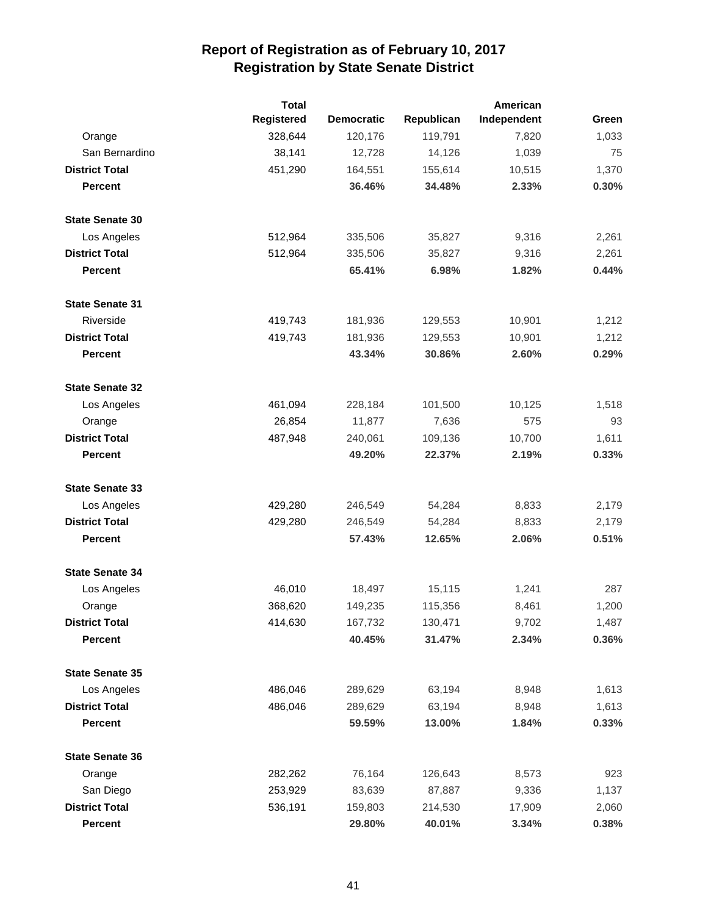|                        | <b>Total</b>      |                   |            | American    |       |
|------------------------|-------------------|-------------------|------------|-------------|-------|
|                        | <b>Registered</b> | <b>Democratic</b> | Republican | Independent | Green |
| Orange                 | 328,644           | 120,176           | 119,791    | 7,820       | 1,033 |
| San Bernardino         | 38,141            | 12,728            | 14,126     | 1,039       | 75    |
| <b>District Total</b>  | 451,290           | 164,551           | 155,614    | 10,515      | 1,370 |
| <b>Percent</b>         |                   | 36.46%            | 34.48%     | 2.33%       | 0.30% |
| <b>State Senate 30</b> |                   |                   |            |             |       |
| Los Angeles            | 512,964           | 335,506           | 35,827     | 9,316       | 2,261 |
| <b>District Total</b>  | 512,964           | 335,506           | 35,827     | 9,316       | 2,261 |
| <b>Percent</b>         |                   | 65.41%            | 6.98%      | 1.82%       | 0.44% |
| <b>State Senate 31</b> |                   |                   |            |             |       |
| Riverside              | 419,743           | 181,936           | 129,553    | 10,901      | 1,212 |
| <b>District Total</b>  | 419,743           | 181,936           | 129,553    | 10,901      | 1,212 |
| <b>Percent</b>         |                   | 43.34%            | 30.86%     | 2.60%       | 0.29% |
| <b>State Senate 32</b> |                   |                   |            |             |       |
| Los Angeles            | 461,094           | 228,184           | 101,500    | 10,125      | 1,518 |
| Orange                 | 26,854            | 11,877            | 7,636      | 575         | 93    |
| <b>District Total</b>  | 487,948           | 240,061           | 109,136    | 10,700      | 1,611 |
| <b>Percent</b>         |                   | 49.20%            | 22.37%     | 2.19%       | 0.33% |
| <b>State Senate 33</b> |                   |                   |            |             |       |
| Los Angeles            | 429,280           | 246,549           | 54,284     | 8,833       | 2,179 |
| <b>District Total</b>  | 429,280           | 246,549           | 54,284     | 8,833       | 2,179 |
| <b>Percent</b>         |                   | 57.43%            | 12.65%     | 2.06%       | 0.51% |
| <b>State Senate 34</b> |                   |                   |            |             |       |
| Los Angeles            | 46,010            | 18,497            | 15,115     | 1,241       | 287   |
| Orange                 | 368,620           | 149,235           | 115,356    | 8,461       | 1,200 |
| <b>District Total</b>  | 414,630           | 167,732           | 130,471    | 9,702       | 1,487 |
| <b>Percent</b>         |                   | 40.45%            | 31.47%     | 2.34%       | 0.36% |
| <b>State Senate 35</b> |                   |                   |            |             |       |
| Los Angeles            | 486,046           | 289,629           | 63,194     | 8,948       | 1,613 |
| <b>District Total</b>  | 486,046           | 289,629           | 63,194     | 8,948       | 1,613 |
| <b>Percent</b>         |                   | 59.59%            | 13.00%     | 1.84%       | 0.33% |
| <b>State Senate 36</b> |                   |                   |            |             |       |
| Orange                 | 282,262           | 76,164            | 126,643    | 8,573       | 923   |
| San Diego              | 253,929           | 83,639            | 87,887     | 9,336       | 1,137 |
| <b>District Total</b>  | 536,191           | 159,803           | 214,530    | 17,909      | 2,060 |
| Percent                |                   | 29.80%            | 40.01%     | 3.34%       | 0.38% |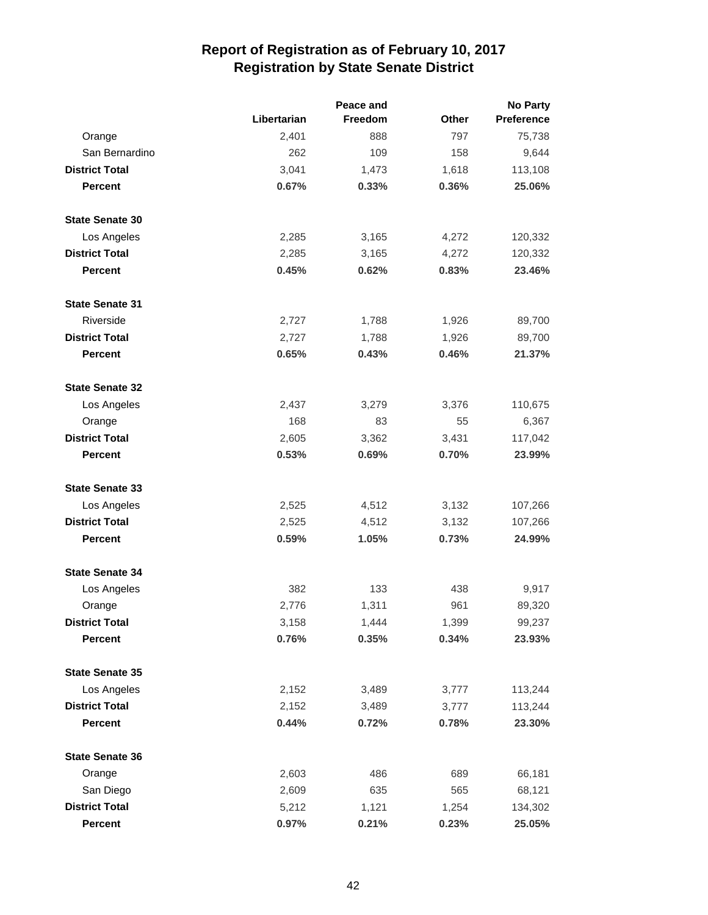|                        |             |                | <b>No Party</b> |                   |
|------------------------|-------------|----------------|-----------------|-------------------|
|                        | Libertarian | <b>Freedom</b> | Other           | <b>Preference</b> |
| Orange                 | 2,401       | 888            | 797             | 75,738            |
| San Bernardino         | 262         | 109            | 158             | 9,644             |
| <b>District Total</b>  | 3,041       | 1,473          | 1,618           | 113,108           |
| <b>Percent</b>         | 0.67%       | 0.33%          | 0.36%           | 25.06%            |
| <b>State Senate 30</b> |             |                |                 |                   |
| Los Angeles            | 2,285       | 3,165          | 4,272           | 120,332           |
| <b>District Total</b>  | 2,285       | 3,165          | 4,272           | 120,332           |
| <b>Percent</b>         | 0.45%       | 0.62%          | 0.83%           | 23.46%            |
| <b>State Senate 31</b> |             |                |                 |                   |
| Riverside              | 2,727       | 1,788          | 1,926           | 89,700            |
| <b>District Total</b>  | 2,727       | 1,788          | 1,926           | 89,700            |
| <b>Percent</b>         | 0.65%       | 0.43%          | 0.46%           | 21.37%            |
| <b>State Senate 32</b> |             |                |                 |                   |
| Los Angeles            | 2,437       | 3,279          | 3,376           | 110,675           |
| Orange                 | 168         | 83             | 55              | 6,367             |
| <b>District Total</b>  | 2,605       | 3,362          | 3,431           | 117,042           |
| <b>Percent</b>         | 0.53%       | 0.69%          | 0.70%           | 23.99%            |
| <b>State Senate 33</b> |             |                |                 |                   |
| Los Angeles            | 2,525       | 4,512          | 3,132           | 107,266           |
| <b>District Total</b>  | 2,525       | 4,512          | 3,132           | 107,266           |
| <b>Percent</b>         | 0.59%       | 1.05%          | 0.73%           | 24.99%            |
| <b>State Senate 34</b> |             |                |                 |                   |
| Los Angeles            | 382         | 133            | 438             | 9,917             |
| Orange                 | 2,776       | 1,311          | 961             | 89,320            |
| <b>District Total</b>  | 3,158       | 1,444          | 1,399           | 99,237            |
| Percent                | 0.76%       | 0.35%          | 0.34%           | 23.93%            |
| <b>State Senate 35</b> |             |                |                 |                   |
| Los Angeles            | 2,152       | 3,489          | 3,777           | 113,244           |
| <b>District Total</b>  | 2,152       | 3,489          | 3,777           | 113,244           |
| Percent                | 0.44%       | 0.72%          | 0.78%           | 23.30%            |
| <b>State Senate 36</b> |             |                |                 |                   |
| Orange                 | 2,603       | 486            | 689             | 66,181            |
| San Diego              | 2,609       | 635            | 565             | 68,121            |
| <b>District Total</b>  | 5,212       | 1,121          | 1,254           | 134,302           |
| Percent                | 0.97%       | 0.21%          | 0.23%           | 25.05%            |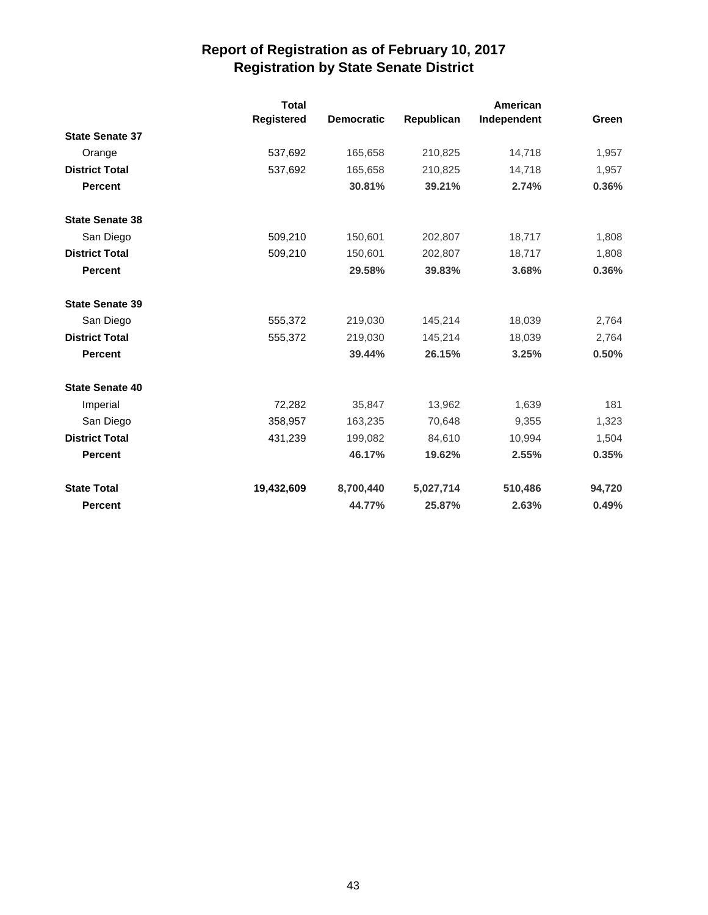|                        | <b>Total</b><br><b>Registered</b> | <b>Democratic</b> | Republican | American<br>Independent | Green  |
|------------------------|-----------------------------------|-------------------|------------|-------------------------|--------|
| <b>State Senate 37</b> |                                   |                   |            |                         |        |
| Orange                 | 537,692                           | 165,658           | 210,825    | 14,718                  | 1,957  |
| <b>District Total</b>  | 537,692                           | 165,658           | 210,825    | 14,718                  | 1,957  |
| <b>Percent</b>         |                                   | 30.81%            | 39.21%     | 2.74%                   | 0.36%  |
| <b>State Senate 38</b> |                                   |                   |            |                         |        |
| San Diego              | 509,210                           | 150,601           | 202,807    | 18,717                  | 1,808  |
| <b>District Total</b>  | 509,210                           | 150,601           | 202,807    | 18,717                  | 1,808  |
| <b>Percent</b>         |                                   | 29.58%            | 39.83%     | 3.68%                   | 0.36%  |
| <b>State Senate 39</b> |                                   |                   |            |                         |        |
| San Diego              | 555,372                           | 219,030           | 145,214    | 18,039                  | 2,764  |
| <b>District Total</b>  | 555,372                           | 219,030           | 145,214    | 18,039                  | 2,764  |
| <b>Percent</b>         |                                   | 39.44%            | 26.15%     | 3.25%                   | 0.50%  |
| <b>State Senate 40</b> |                                   |                   |            |                         |        |
| Imperial               | 72,282                            | 35,847            | 13,962     | 1,639                   | 181    |
| San Diego              | 358,957                           | 163,235           | 70,648     | 9,355                   | 1,323  |
| <b>District Total</b>  | 431,239                           | 199,082           | 84,610     | 10,994                  | 1,504  |
| <b>Percent</b>         |                                   | 46.17%            | 19.62%     | 2.55%                   | 0.35%  |
| <b>State Total</b>     | 19,432,609                        | 8,700,440         | 5,027,714  | 510,486                 | 94,720 |
| <b>Percent</b>         |                                   | 44.77%            | 25.87%     | 2.63%                   | 0.49%  |